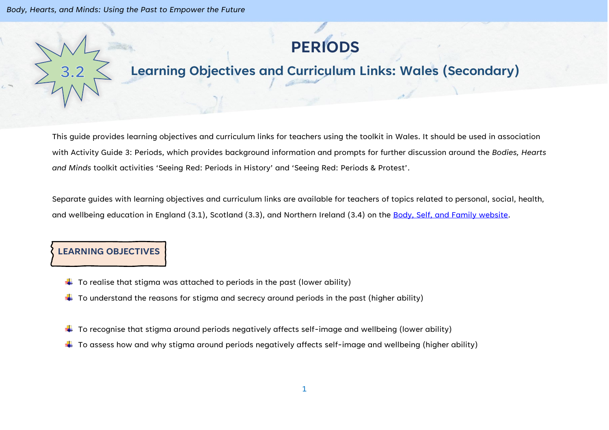

# **Learning Objectives and Curriculum Links: Wales (Secondary)**

This guide provides learning objectives and curriculum links for teachers using the toolkit in Wales. It should be used in association with Activity Guide 3: Periods, which provides background information and prompts for further discussion around the *Bodies, Hearts and Minds* toolkit activities 'Seeing Red: Periods in History' and 'Seeing Red: Periods & Protest'.

Separate guides with learning objectives and curriculum links are available for teachers of topics related to personal, social, health, and wellbeing education in England (3.1), Scotland (3.3), and Northern Ireland (3.4) on the [Body, Self, and Family website.](https://bodyselffamily.org/)

#### **LEARNING OBJECTIVES**

- $\downarrow$  To realise that stigma was attached to periods in the past (lower ability)
- $\downarrow$  To understand the reasons for stigma and secrecy around periods in the past (higher ability)
- $\ddot{\phantom{a}}$  To recognise that stigma around periods negatively affects self-image and wellbeing (lower ability)
- $\ddotplus$  To assess how and why stigma around periods negatively affects self-image and wellbeing (higher ability)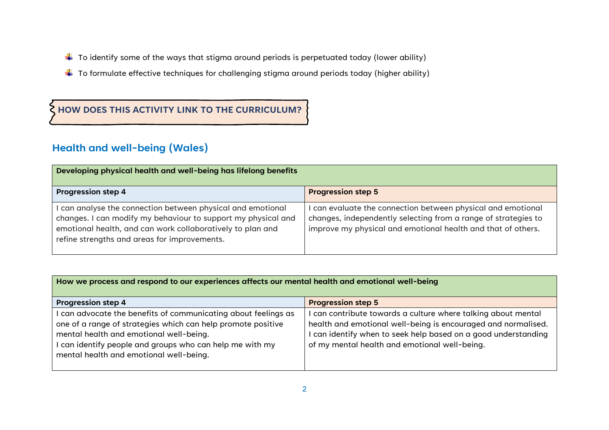- $\downarrow$  To identify some of the ways that stigma around periods is perpetuated today (lower ability)
- $\ddot{\phantom{a}}$  To formulate effective techniques for challenging stigma around periods today (higher ability)

### **HOW DOES THIS ACTIVITY LINK TO THE CURRICULUM?**

## **Health and well-being (Wales)**

| Developing physical health and well-being has lifelong benefits                                                                                                                                                                            |                                                                                                                                                                                              |  |
|--------------------------------------------------------------------------------------------------------------------------------------------------------------------------------------------------------------------------------------------|----------------------------------------------------------------------------------------------------------------------------------------------------------------------------------------------|--|
| <b>Progression step 4</b>                                                                                                                                                                                                                  | <b>Progression step 5</b>                                                                                                                                                                    |  |
| I can analyse the connection between physical and emotional<br>changes. I can modify my behaviour to support my physical and<br>emotional health, and can work collaboratively to plan and<br>refine strengths and areas for improvements. | can evaluate the connection between physical and emotional<br>changes, independently selecting from a range of strategies to<br>improve my physical and emotional health and that of others. |  |

#### **How we process and respond to our experiences affects our mental health and emotional well-being**

| <b>Progression step 4</b>                                    | <b>Progression step 5</b>                                      |
|--------------------------------------------------------------|----------------------------------------------------------------|
| can advocate the benefits of communicating about feelings as | can contribute towards a culture where talking about mental    |
| one of a range of strategies which can help promote positive | health and emotional well-being is encouraged and normalised.  |
| mental health and emotional well-being.                      | I can identify when to seek help based on a good understanding |
| can identify people and groups who can help me with my       | of my mental health and emotional well-being.                  |
| mental health and emotional well-being.                      |                                                                |
|                                                              |                                                                |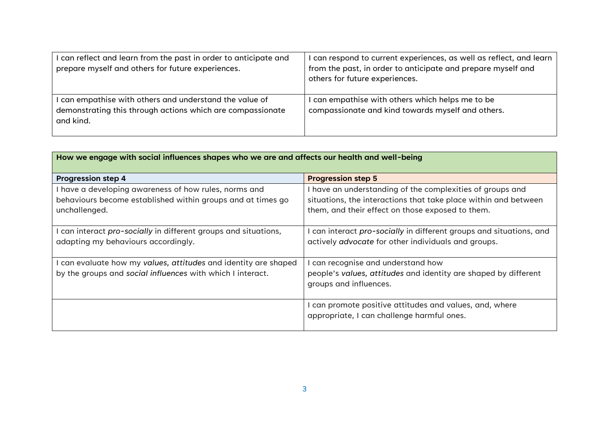| I can reflect and learn from the past in order to anticipate and<br>prepare myself and others for future experiences.              | can respond to current experiences, as well as reflect, and learn<br>from the past, in order to anticipate and prepare myself and<br>others for future experiences. |
|------------------------------------------------------------------------------------------------------------------------------------|---------------------------------------------------------------------------------------------------------------------------------------------------------------------|
| I can empathise with others and understand the value of<br>demonstrating this through actions which are compassionate<br>and kind. | can empathise with others which helps me to be<br>compassionate and kind towards myself and others.                                                                 |

| How we engage with social influences shapes who we are and affects our health and well-being           |                                                                                                                          |  |
|--------------------------------------------------------------------------------------------------------|--------------------------------------------------------------------------------------------------------------------------|--|
| <b>Progression step 4</b>                                                                              | <b>Progression step 5</b>                                                                                                |  |
| I have a developing awareness of how rules, norms and                                                  | I have an understanding of the complexities of groups and                                                                |  |
| behaviours become established within groups and at times go                                            | situations, the interactions that take place within and between                                                          |  |
| unchallenged.                                                                                          | them, and their effect on those exposed to them.                                                                         |  |
| I can interact pro-socially in different groups and situations,<br>adapting my behaviours accordingly. | can interact pro-socially in different groups and situations, and<br>actively advocate for other individuals and groups. |  |
| I can evaluate how my values, attitudes and identity are shaped                                        | can recognise and understand how                                                                                         |  |
| by the groups and social influences with which I interact.                                             | people's values, attitudes and identity are shaped by different<br>groups and influences.                                |  |
|                                                                                                        | can promote positive attitudes and values, and, where<br>appropriate, I can challenge harmful ones.                      |  |